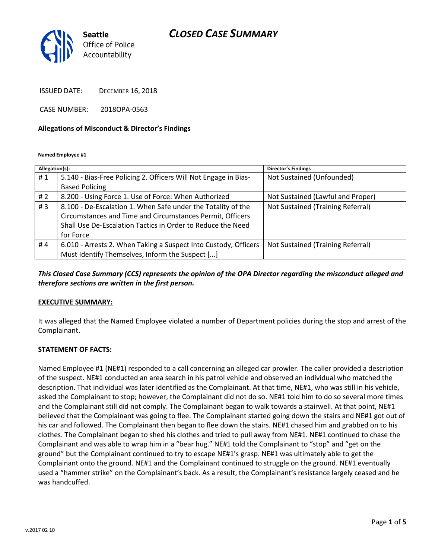### *CLOSED CASE SUMMARY*



ISSUED DATE: DECEMBER 16, 2018

CASE NUMBER: 2018OPA-0563

#### **Allegations of Misconduct & Director's Findings**

**Named Employee #1**

| Allegation(s): |                                                                 | Director's Findings               |
|----------------|-----------------------------------------------------------------|-----------------------------------|
| #1             | 5.140 - Bias-Free Policing 2. Officers Will Not Engage in Bias- | Not Sustained (Unfounded)         |
|                | <b>Based Policing</b>                                           |                                   |
| #2             | 8.200 - Using Force 1. Use of Force: When Authorized            | Not Sustained (Lawful and Proper) |
| #3             | 8.100 - De-Escalation 1. When Safe under the Totality of the    | Not Sustained (Training Referral) |
|                | Circumstances and Time and Circumstances Permit, Officers       |                                   |
|                | Shall Use De-Escalation Tactics in Order to Reduce the Need     |                                   |
|                | for Force                                                       |                                   |
| #4             | 6.010 - Arrests 2. When Taking a Suspect Into Custody, Officers | Not Sustained (Training Referral) |
|                | Must Identify Themselves, Inform the Suspect []                 |                                   |

#### *This Closed Case Summary (CCS) represents the opinion of the OPA Director regarding the misconduct alleged and therefore sections are written in the first person.*

#### **EXECUTIVE SUMMARY:**

It was alleged that the Named Employee violated a number of Department policies during the stop and arrest of the Complainant.

#### **STATEMENT OF FACTS:**

Named Employee #1 (NE#1) responded to a call concerning an alleged car prowler. The caller provided a description of the suspect. NE#1 conducted an area search in his patrol vehicle and observed an individual who matched the description. That individual was later identified as the Complainant. At that time, NE#1, who was still in his vehicle, asked the Complainant to stop; however, the Complainant did not do so. NE#1 told him to do so several more times and the Complainant still did not comply. The Complainant began to walk towards a stairwell. At that point, NE#1 believed that the Complainant was going to flee. The Complainant started going down the stairs and NE#1 got out of his car and followed. The Complainant then began to flee down the stairs. NE#1 chased him and grabbed on to his clothes. The Complainant began to shed his clothes and tried to pull away from NE#1. NE#1 continued to chase the Complainant and was able to wrap him in a "bear hug." NE#1 told the Complainant to "stop" and "get on the ground" but the Complainant continued to try to escape NE#1's grasp. NE#1 was ultimately able to get the Complainant onto the ground. NE#1 and the Complainant continued to struggle on the ground. NE#1 eventually used a "hammer strike" on the Complainant's back. As a result, the Complainant's resistance largely ceased and he was handcuffed.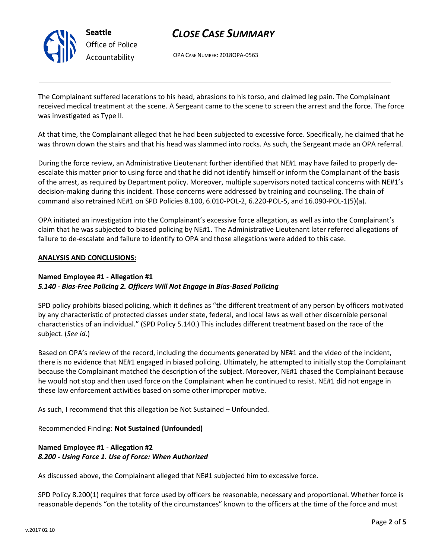

# *Office of Police*

## *CLOSE CASE SUMMARY*

OPA CASE NUMBER: 2018OPA-0563

The Complainant suffered lacerations to his head, abrasions to his torso, and claimed leg pain. The Complainant received medical treatment at the scene. A Sergeant came to the scene to screen the arrest and the force. The force was investigated as Type II.

At that time, the Complainant alleged that he had been subjected to excessive force. Specifically, he claimed that he was thrown down the stairs and that his head was slammed into rocks. As such, the Sergeant made an OPA referral.

During the force review, an Administrative Lieutenant further identified that NE#1 may have failed to properly deescalate this matter prior to using force and that he did not identify himself or inform the Complainant of the basis of the arrest, as required by Department policy. Moreover, multiple supervisors noted tactical concerns with NE#1's decision-making during this incident. Those concerns were addressed by training and counseling. The chain of command also retrained NE#1 on SPD Policies 8.100, 6.010-POL-2, 6.220-POL-5, and 16.090-POL-1(5)(a).

OPA initiated an investigation into the Complainant's excessive force allegation, as well as into the Complainant's claim that he was subjected to biased policing by NE#1. The Administrative Lieutenant later referred allegations of failure to de-escalate and failure to identify to OPA and those allegations were added to this case.

#### **ANALYSIS AND CONCLUSIONS:**

#### **Named Employee #1 - Allegation #1**

#### *5.140 - Bias-Free Policing 2. Officers Will Not Engage in Bias-Based Policing*

SPD policy prohibits biased policing, which it defines as "the different treatment of any person by officers motivated by any characteristic of protected classes under state, federal, and local laws as well other discernible personal characteristics of an individual." (SPD Policy 5.140.) This includes different treatment based on the race of the subject. (*See id*.)

Based on OPA's review of the record, including the documents generated by NE#1 and the video of the incident, there is no evidence that NE#1 engaged in biased policing. Ultimately, he attempted to initially stop the Complainant because the Complainant matched the description of the subject. Moreover, NE#1 chased the Complainant because he would not stop and then used force on the Complainant when he continued to resist. NE#1 did not engage in these law enforcement activities based on some other improper motive.

As such, I recommend that this allegation be Not Sustained – Unfounded.

Recommended Finding: **Not Sustained (Unfounded)**

#### **Named Employee #1 - Allegation #2** *8.200 - Using Force 1. Use of Force: When Authorized*

As discussed above, the Complainant alleged that NE#1 subjected him to excessive force.

SPD Policy 8.200(1) requires that force used by officers be reasonable, necessary and proportional. Whether force is reasonable depends "on the totality of the circumstances" known to the officers at the time of the force and must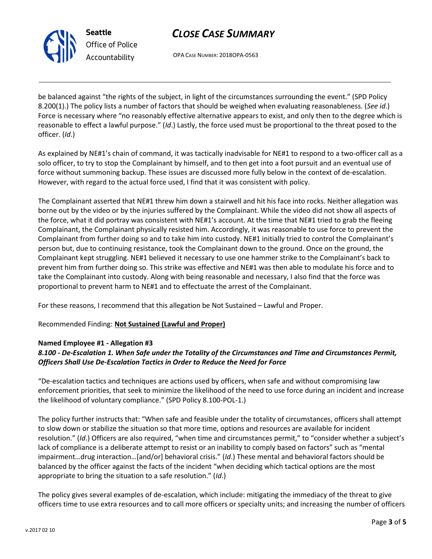

**Seattle** *Office of Police Accountability*

## *CLOSE CASE SUMMARY*

OPA CASE NUMBER: 2018OPA-0563

be balanced against "the rights of the subject, in light of the circumstances surrounding the event." (SPD Policy 8.200(1).) The policy lists a number of factors that should be weighed when evaluating reasonableness. (*See id*.) Force is necessary where "no reasonably effective alternative appears to exist, and only then to the degree which is reasonable to effect a lawful purpose." (*Id*.) Lastly, the force used must be proportional to the threat posed to the officer. (*Id*.)

As explained by NE#1's chain of command, it was tactically inadvisable for NE#1 to respond to a two-officer call as a solo officer, to try to stop the Complainant by himself, and to then get into a foot pursuit and an eventual use of force without summoning backup. These issues are discussed more fully below in the context of de-escalation. However, with regard to the actual force used, I find that it was consistent with policy.

The Complainant asserted that NE#1 threw him down a stairwell and hit his face into rocks. Neither allegation was borne out by the video or by the injuries suffered by the Complainant. While the video did not show all aspects of the force, what it did portray was consistent with NE#1's account. At the time that NE#1 tried to grab the fleeing Complainant, the Complainant physically resisted him. Accordingly, it was reasonable to use force to prevent the Complainant from further doing so and to take him into custody. NE#1 initially tried to control the Complainant's person but, due to continuing resistance, took the Complainant down to the ground. Once on the ground, the Complainant kept struggling. NE#1 believed it necessary to use one hammer strike to the Complainant's back to prevent him from further doing so. This strike was effective and NE#1 was then able to modulate his force and to take the Complainant into custody. Along with being reasonable and necessary, I also find that the force was proportional to prevent harm to NE#1 and to effectuate the arrest of the Complainant.

For these reasons, I recommend that this allegation be Not Sustained – Lawful and Proper.

Recommended Finding: **Not Sustained (Lawful and Proper)**

#### **Named Employee #1 - Allegation #3**

#### *8.100 - De-Escalation 1. When Safe under the Totality of the Circumstances and Time and Circumstances Permit, Officers Shall Use De-Escalation Tactics in Order to Reduce the Need for Force*

"De-escalation tactics and techniques are actions used by officers, when safe and without compromising law enforcement priorities, that seek to minimize the likelihood of the need to use force during an incident and increase the likelihood of voluntary compliance." (SPD Policy 8.100-POL-1.)

The policy further instructs that: "When safe and feasible under the totality of circumstances, officers shall attempt to slow down or stabilize the situation so that more time, options and resources are available for incident resolution." (*Id*.) Officers are also required, "when time and circumstances permit," to "consider whether a subject's lack of compliance is a deliberate attempt to resist or an inability to comply based on factors" such as "mental impairment…drug interaction…[and/or] behavioral crisis." (*Id*.) These mental and behavioral factors should be balanced by the officer against the facts of the incident "when deciding which tactical options are the most appropriate to bring the situation to a safe resolution." (*Id*.)

The policy gives several examples of de-escalation, which include: mitigating the immediacy of the threat to give officers time to use extra resources and to call more officers or specialty units; and increasing the number of officers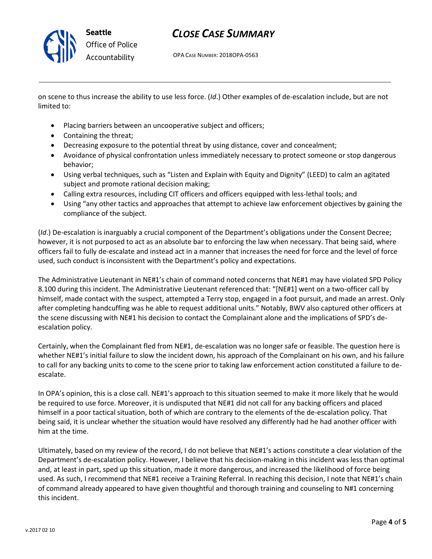

## *CLOSE CASE SUMMARY*

OPA CASE NUMBER: 2018OPA-0563

on scene to thus increase the ability to use less force. (*Id*.) Other examples of de-escalation include, but are not limited to:

- Placing barriers between an uncooperative subject and officers;
- Containing the threat;
- Decreasing exposure to the potential threat by using distance, cover and concealment;
- Avoidance of physical confrontation unless immediately necessary to protect someone or stop dangerous behavior;
- Using verbal techniques, such as "Listen and Explain with Equity and Dignity" (LEED) to calm an agitated subject and promote rational decision making;
- Calling extra resources, including CIT officers and officers equipped with less-lethal tools; and
- Using "any other tactics and approaches that attempt to achieve law enforcement objectives by gaining the compliance of the subject.

(*Id*.) De-escalation is inarguably a crucial component of the Department's obligations under the Consent Decree; however, it is not purposed to act as an absolute bar to enforcing the law when necessary. That being said, where officers fail to fully de-escalate and instead act in a manner that increases the need for force and the level of force used, such conduct is inconsistent with the Department's policy and expectations.

The Administrative Lieutenant in NE#1's chain of command noted concerns that NE#1 may have violated SPD Policy 8.100 during this incident. The Administrative Lieutenant referenced that: "[NE#1] went on a two-officer call by himself, made contact with the suspect, attempted a Terry stop, engaged in a foot pursuit, and made an arrest. Only after completing handcuffing was he able to request additional units." Notably, BWV also captured other officers at the scene discussing with NE#1 his decision to contact the Complainant alone and the implications of SPD's deescalation policy.

Certainly, when the Complainant fled from NE#1, de-escalation was no longer safe or feasible. The question here is whether NE#1's initial failure to slow the incident down, his approach of the Complainant on his own, and his failure to call for any backing units to come to the scene prior to taking law enforcement action constituted a failure to deescalate.

In OPA's opinion, this is a close call. NE#1's approach to this situation seemed to make it more likely that he would be required to use force. Moreover, it is undisputed that NE#1 did not call for any backing officers and placed himself in a poor tactical situation, both of which are contrary to the elements of the de-escalation policy. That being said, it is unclear whether the situation would have resolved any differently had he had another officer with him at the time.

Ultimately, based on my review of the record, I do not believe that NE#1's actions constitute a clear violation of the Department's de-escalation policy. However, I believe that his decision-making in this incident was less than optimal and, at least in part, sped up this situation, made it more dangerous, and increased the likelihood of force being used. As such, I recommend that NE#1 receive a Training Referral. In reaching this decision, I note that NE#1's chain of command already appeared to have given thoughtful and thorough training and counseling to N#1 concerning this incident.